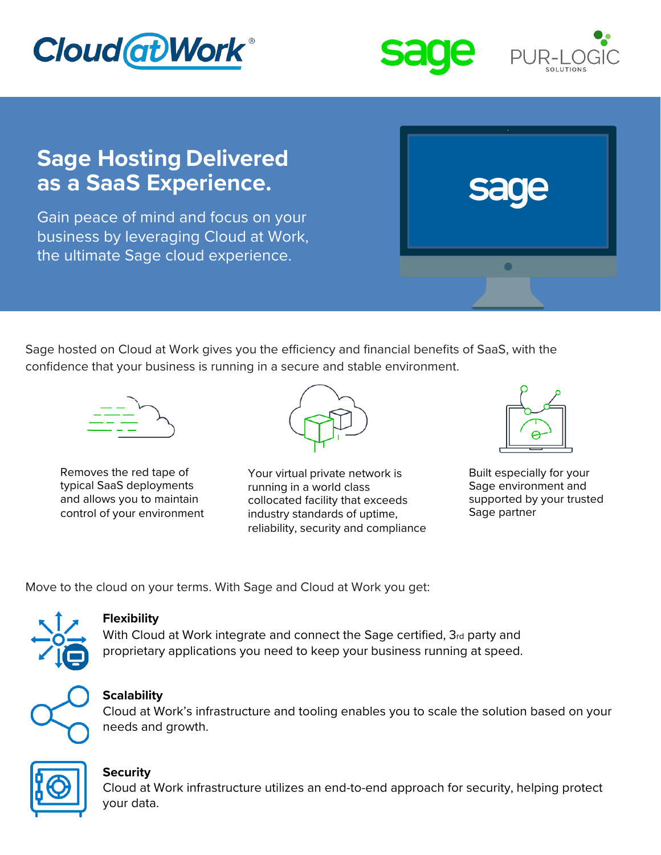





# **Sage Hosting Delivered as a SaaS Experience.**

Gain peace of mind and focus on your business by leveraging Cloud at Work, the ultimate Sage cloud experience.

Sage hosted on Cloud at Work gives you the efficiency and financial benefits of SaaS, with the confidence that your business is running in a secure and stable environment.



Removes the red tape of typical SaaS deployments and allows you to maintain control of your environment



Your virtual private network is running in a world class collocated facility that exceeds industry standards of uptime, reliability, security and compliance



Built especially for your Sage environment and supported by your trusted Sage partner

Move to the cloud on your terms. With Sage and Cloud at Work you get:



## **Flexibility**

With Cloud at Work integrate and connect the Sage certified, 3rd party and proprietary applications you need to keep your business running at speed.



# **Scalability**

Cloud at Work's infrastructure and tooling enables you to scale the solution based on your needs and growth.



## **Security**

Cloud at Work infrastructure utilizes an end-to-end approach for security, helping protect your data.